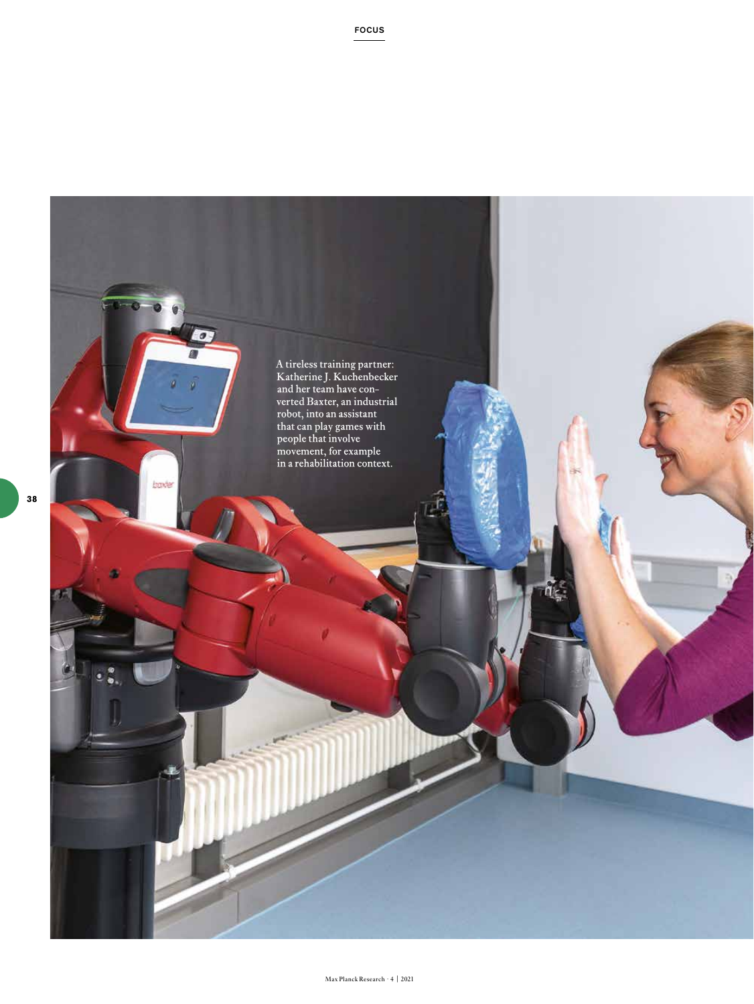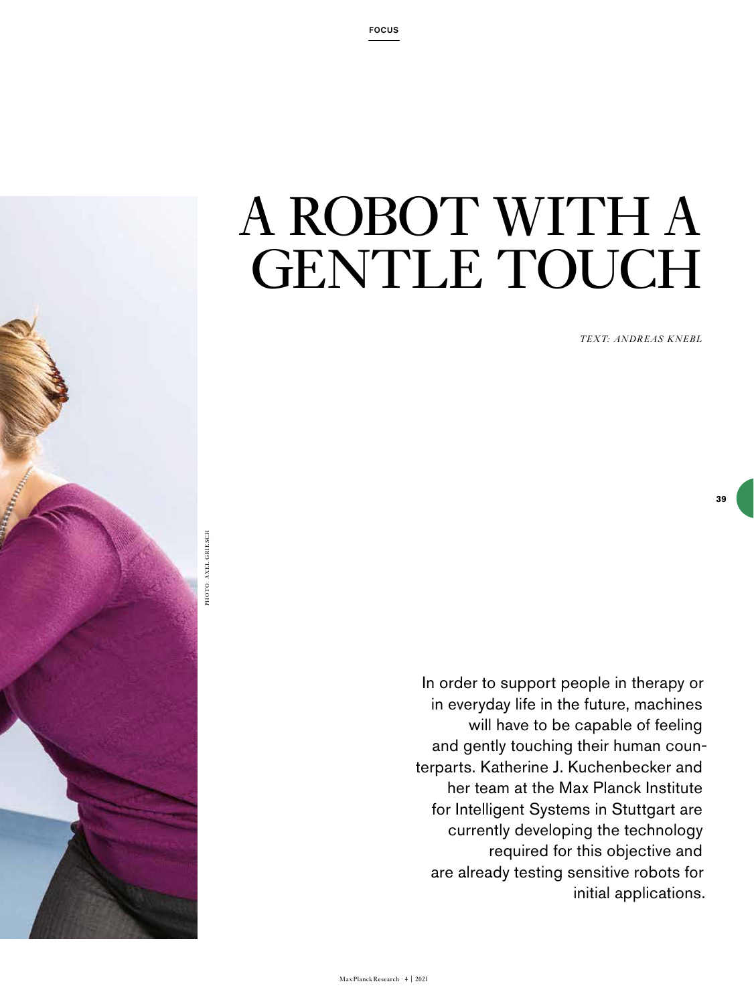

*TEXT: ANDREAS KNEBL*

**39**

In order to support people in therapy or in everyday life in the future, machines will have to be capable of feeling and gently touching their human counterparts. Katherine J. Kuchenbecker and her team at the Max Planck Institute for Intelligent Systems in Stuttgart are currently developing the technology required for this objective and are already testing sensitive robots for initial applications.

PHOTO: AXEL GRIESCH PHOTO: AXEL GRIESCH

Max Planck Research · 4 | 2021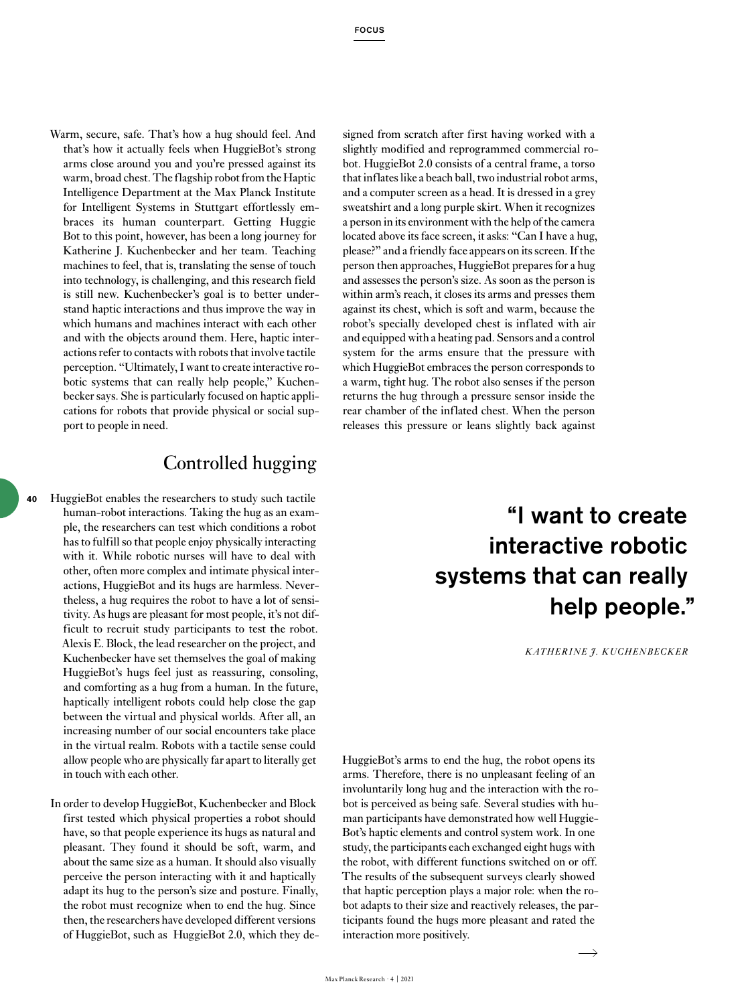Warm, secure, safe. That's how a hug should feel. And that's how it actually feels when HuggieBot's strong arms close around you and you're pressed against its warm, broad chest. The flagship robot from the Haptic Intelligence Department at the Max Planck Institute for Intelligent Systems in Stuttgart effortlessly embraces its human counterpart. Getting Huggie Bot to this point, however, has been a long journey for Katherine J. Kuchenbecker and her team. Teaching machines to feel, that is, translating the sense of touch into technology, is challenging, and this research field is still new. Kuchenbecker's goal is to better understand haptic interactions and thus improve the way in which humans and machines interact with each other and with the objects around them. Here, haptic interactions refer to contacts with robots that involve tactile perception. "Ultimately, I want to create interactive robotic systems that can really help people," Kuchenbecker says. She is particularly focused on haptic applications for robots that provide physical or social support to people in need.

## Controlled hugging

- HuggieBot enables the researchers to study such tactile human-robot interactions. Taking the hug as an example, the researchers can test which conditions a robot has to fulfill so that people enjoy physically interacting with it. While robotic nurses will have to deal with other, often more complex and intimate physical interactions, HuggieBot and its hugs are harmless. Nevertheless, a hug requires the robot to have a lot of sensitivity. As hugs are pleasant for most people, it's not difficult to recruit study participants to test the robot. Alexis E. Block, the lead researcher on the project, and Kuchenbecker have set themselves the goal of making HuggieBot's hugs feel just as reassuring, consoling, and comforting as a hug from a human. In the future, haptically intelligent robots could help close the gap between the virtual and physical worlds. After all, an increasing number of our social encounters take place in the virtual realm. Robots with a tactile sense could allow people who are physically far apart to literally get in touch with each other. **40**
	- In order to develop HuggieBot, Kuchenbecker and Block first tested which physical properties a robot should have, so that people experience its hugs as natural and pleasant. They found it should be soft, warm, and about the same size as a human. It should also visually perceive the person interacting with it and haptically adapt its hug to the person's size and posture. Finally, the robot must recognize when to end the hug. Since then, the researchers have developed different versions of HuggieBot, such as HuggieBot 2.0, which they de-

signed from scratch after first having worked with a slightly modified and reprogrammed commercial robot. HuggieBot 2.0 consists of a central frame, a torso that inflates like a beach ball, two industrial robot arms, and a computer screen as a head. It is dressed in a grey sweatshirt and a long purple skirt. When it recognizes a person in its environment with the help of the camera located above its face screen, it asks: "Can I have a hug, please?" and a friendly face appears on its screen. If the person then approaches, HuggieBot prepares for a hug and assesses the person's size. As soon as the person is within arm's reach, it closes its arms and presses them against its chest, which is soft and warm, because the robot's specially developed chest is inflated with air and equipped with a heating pad. Sensors and a control system for the arms ensure that the pressure with which HuggieBot embraces the person corresponds to a warm, tight hug. The robot also senses if the person returns the hug through a pressure sensor inside the rear chamber of the inflated chest. When the person releases this pressure or leans slightly back against

## "I want to create interactive robotic systems that can really help people."

*KATHERINE J. KUCHENBECKER*

HuggieBot's arms to end the hug, the robot opens its arms. Therefore, there is no unpleasant feeling of an involuntarily long hug and the interaction with the robot is perceived as being safe. Several studies with human participants have demonstrated how well Huggie-Bot's haptic elements and control system work. In one study, the participants each exchanged eight hugs with the robot, with different functions switched on or off. The results of the subsequent surveys clearly showed that haptic perception plays a major role: when the robot adapts to their size and reactively releases, the participants found the hugs more pleasant and rated the interaction more positively.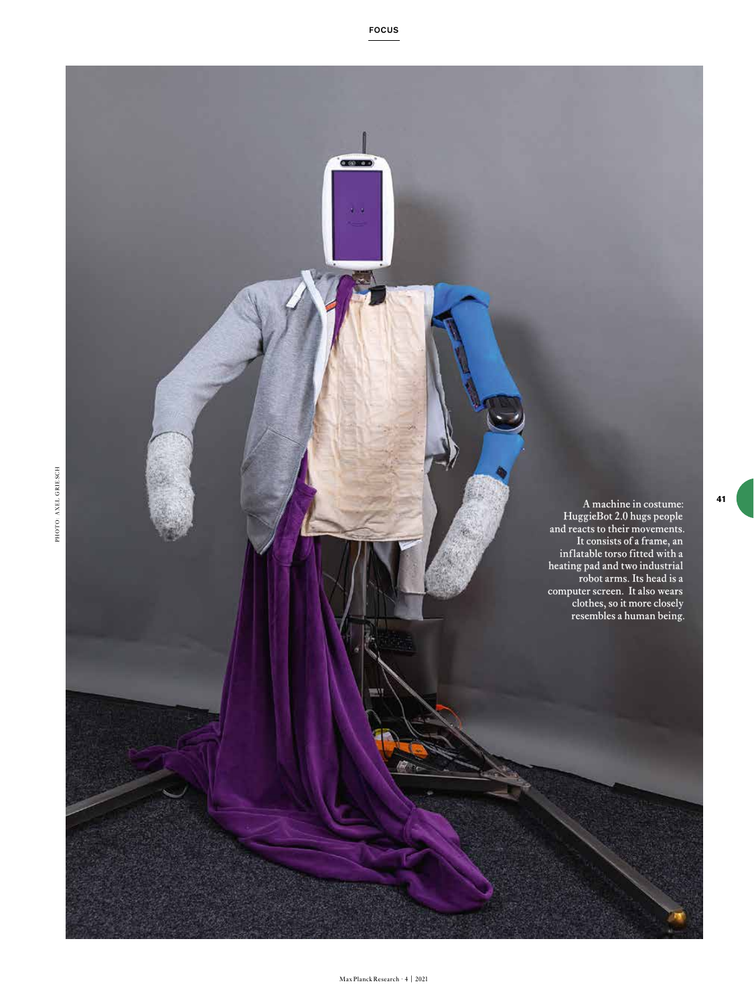**CERED** A machine in costume: HuggieBot 2.0 hugs people and reacts to their movements. It consists of a frame, an inflatable torso fitted with a heating pad and two industrial robot arms. Its head is a computer screen. It also wears clothes, so it more closely resembles a human being.

**41**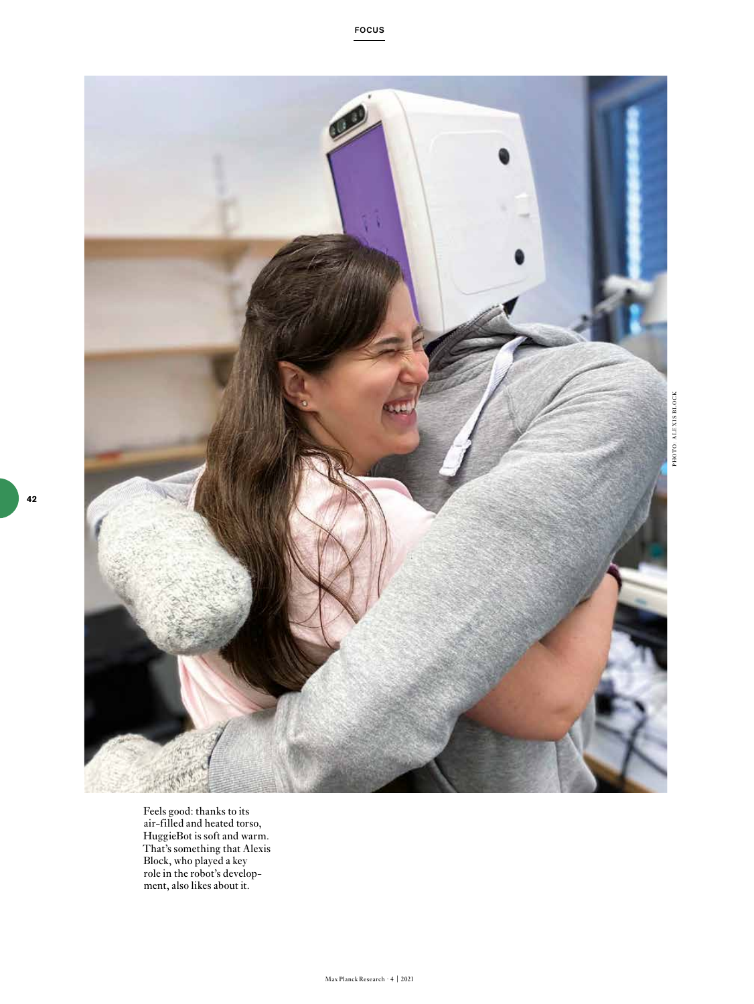

PHOTO: ALEXIS BLOCK

Feels good: thanks to its air-filled and heated torso, HuggieBot is soft and warm. That's something that Alexis Block, who played a key role in the robot's development, also likes about it.

FOCUS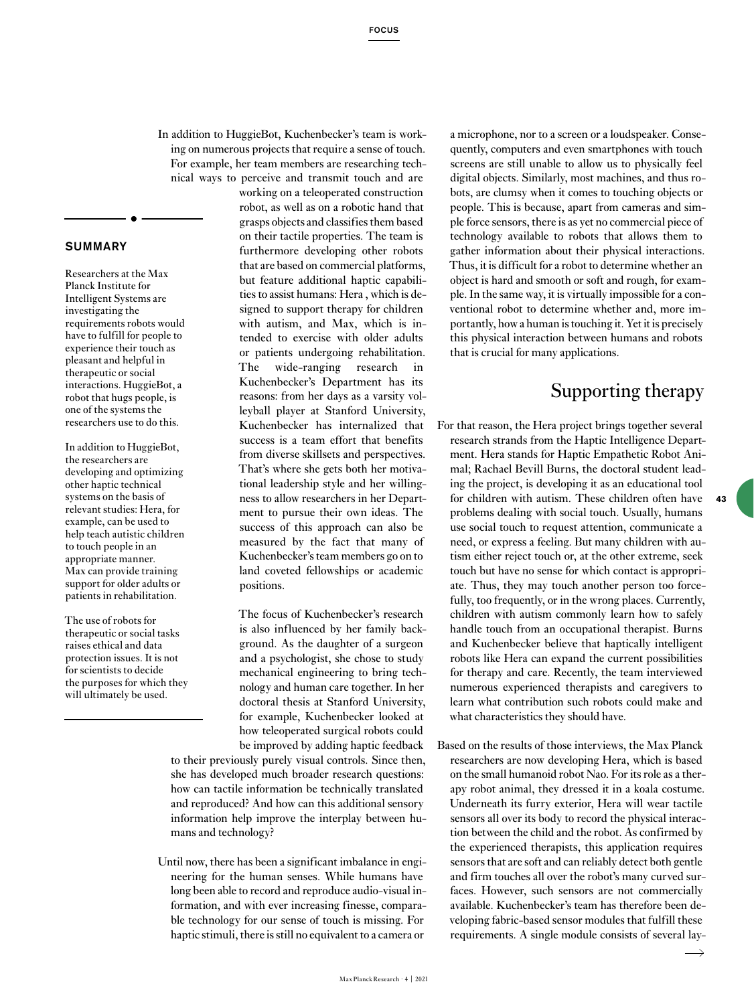In addition to HuggieBot, Kuchenbecker's team is working on numerous projects that require a sense of touch. For example, her team members are researching technical ways to perceive and transmit touch and are

## SUMMARY

Researchers at the Max Planck Institute for Intelligent Systems are investigating the requirements robots would have to fulfill for people to experience their touch as pleasant and helpful in therapeutic or social interactions. HuggieBot, a robot that hugs people, is one of the systems the researchers use to do this.

In addition to HuggieBot, the researchers are developing and optimizing other haptic technical systems on the basis of relevant studies: Hera, for example, can be used to help teach autistic children to touch people in an appropriate manner. Max can provide training support for older adults or patients in rehabilitation.

The use of robots for therapeutic or social tasks raises ethical and data protection issues. It is not for scientists to decide the purposes for which they will ultimately be used.

working on a teleoperated construction robot, as well as on a robotic hand that grasps objects and classifies them based on their tactile properties. The team is furthermore developing other robots that are based on commercial platforms, but feature additional haptic capabilities to assist humans: Hera , which is designed to support therapy for children with autism, and Max, which is intended to exercise with older adults or patients undergoing rehabilitation. The wide-ranging research in Kuchenbecker's Department has its reasons: from her days as a varsity volleyball player at Stanford University, Kuchenbecker has internalized that success is a team effort that benefits from diverse skillsets and perspectives. That's where she gets both her motivational leadership style and her willingness to allow researchers in her Department to pursue their own ideas. The success of this approach can also be measured by the fact that many of Kuchenbecker's team members go on to land coveted fellowships or academic positions.

The focus of Kuchenbecker's research is also influenced by her family background. As the daughter of a surgeon and a psychologist, she chose to study mechanical engineering to bring technology and human care together. In her doctoral thesis at Stanford University, for example, Kuchenbecker looked at how teleoperated surgical robots could be improved by adding haptic feedback

to their previously purely visual controls. Since then, she has developed much broader research questions: how can tactile information be technically translated and reproduced? And how can this additional sensory information help improve the interplay between humans and technology?

Until now, there has been a significant imbalance in engineering for the human senses. While humans have long been able to record and reproduce audio-visual information, and with ever increasing finesse, comparable technology for our sense of touch is missing. For haptic stimuli, there is still no equivalent to a camera or

a microphone, nor to a screen or a loudspeaker. Consequently, computers and even smartphones with touch screens are still unable to allow us to physically feel digital objects. Similarly, most machines, and thus robots, are clumsy when it comes to touching objects or people. This is because, apart from cameras and simple force sensors, there is as yet no commercial piece of technology available to robots that allows them to gather information about their physical interactions. Thus, it is difficult for a robot to determine whether an object is hard and smooth or soft and rough, for example. In the same way, it is virtually impossible for a conventional robot to determine whether and, more importantly, how a human is touching it. Yet it is precisely this physical interaction between humans and robots that is crucial for many applications.

## Supporting therapy

**43**

- For that reason, the Hera project brings together several research strands from the Haptic Intelligence Department. Hera stands for Haptic Empathetic Robot Animal; Rachael Bevill Burns, the doctoral student leading the project, is developing it as an educational tool for children with autism. These children often have problems dealing with social touch. Usually, humans use social touch to request attention, communicate a need, or express a feeling. But many children with autism either reject touch or, at the other extreme, seek touch but have no sense for which contact is appropriate. Thus, they may touch another person too forcefully, too frequently, or in the wrong places. Currently, children with autism commonly learn how to safely handle touch from an occupational therapist. Burns and Kuchenbecker believe that haptically intelligent robots like Hera can expand the current possibilities for therapy and care. Recently, the team interviewed numerous experienced therapists and caregivers to learn what contribution such robots could make and what characteristics they should have.
- Based on the results of those interviews, the Max Planck researchers are now developing Hera, which is based on the small humanoid robot Nao. For its role as a therapy robot animal, they dressed it in a koala costume. Underneath its furry exterior, Hera will wear tactile sensors all over its body to record the physical interaction between the child and the robot. As confirmed by the experienced therapists, this application requires sensors that are soft and can reliably detect both gentle and firm touches all over the robot's many curved surfaces. However, such sensors are not commercially available. Kuchenbecker's team has therefore been developing fabric-based sensor modules that fulfill these requirements. A single module consists of several lay-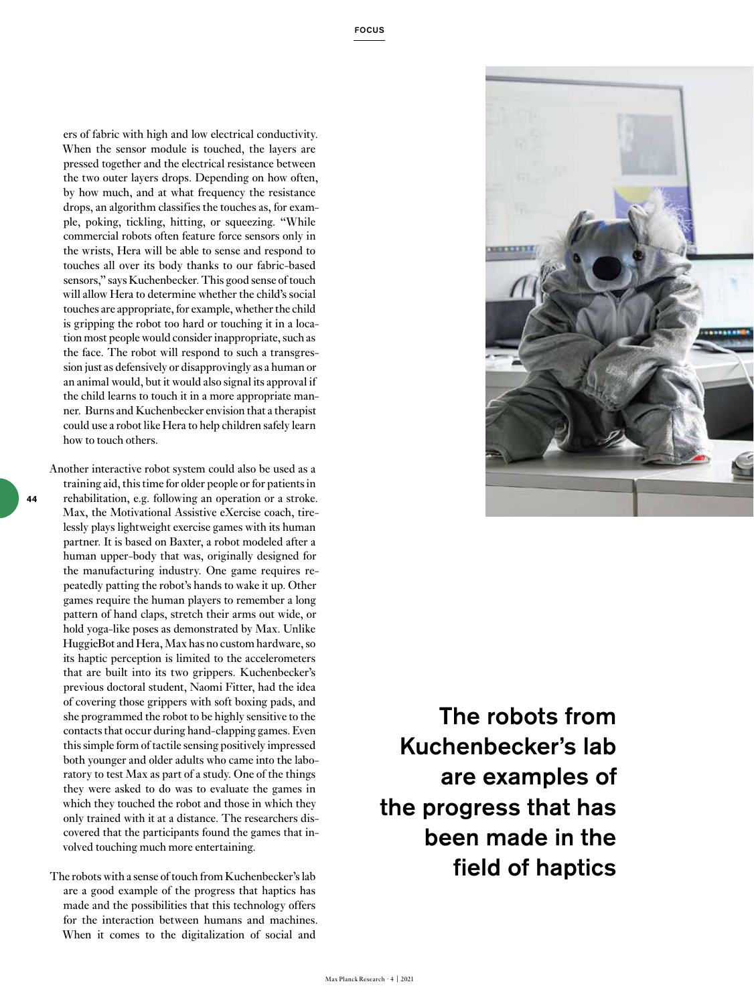ers of fabric with high and low electrical conductivity. When the sensor module is touched, the layers are pressed together and the electrical resistance between the two outer layers drops. Depending on how often, by how much, and at what frequency the resistance drops, an algorithm classifies the touches as, for example, poking, tickling, hitting, or squeezing. "While commercial robots often feature force sensors only in the wrists, Hera will be able to sense and respond to touches all over its body thanks to our fabric-based sensors," says Kuchenbecker. This good sense of touch will allow Hera to determine whether the child's social touches are appropriate, for example, whether the child is gripping the robot too hard or touching it in a location most people would consider inappropriate, such as the face. The robot will respond to such a transgression just as defensively or disapprovingly as a human or an animal would, but it would also signal its approval if the child learns to touch it in a more appropriate manner. Burns and Kuchenbecker envision that a therapist could use a robot like Hera to help children safely learn how to touch others.

**44**

Another interactive robot system could also be used as a training aid, this time for older people or for patients in rehabilitation, e.g. following an operation or a stroke. Max, the Motivational Assistive eXercise coach, tirelessly plays lightweight exercise games with its human partner. It is based on Baxter, a robot modeled after a human upper-body that was, originally designed for the manufacturing industry. One game requires repeatedly patting the robot's hands to wake it up. Other games require the human players to remember a long pattern of hand claps, stretch their arms out wide, or hold yoga-like poses as demonstrated by Max. Unlike HuggieBot and Hera, Max has no custom hardware, so its haptic perception is limited to the accelerometers that are built into its two grippers. Kuchenbecker's previous doctoral student, Naomi Fitter, had the idea of covering those grippers with soft boxing pads, and she programmed the robot to be highly sensitive to the contacts that occur during hand-clapping games. Even this simple form of tactile sensing positively impressed both younger and older adults who came into the laboratory to test Max as part of a study. One of the things they were asked to do was to evaluate the games in which they touched the robot and those in which they only trained with it at a distance. The researchers discovered that the participants found the games that involved touching much more entertaining.

The robots with a sense of touch from Kuchenbecker's lab are a good example of the progress that haptics has made and the possibilities that this technology offers for the interaction between humans and machines. When it comes to the digitalization of social and



The robots from Kuchenbecker's lab are examples of the progress that has been made in the field of haptics